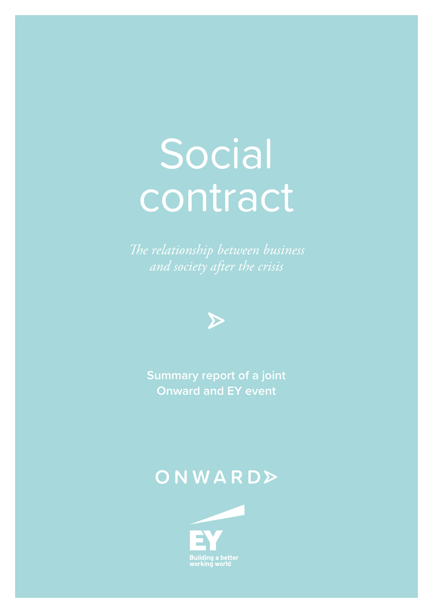# **Social** contract



**Onward and EY event**

### ONWARD>

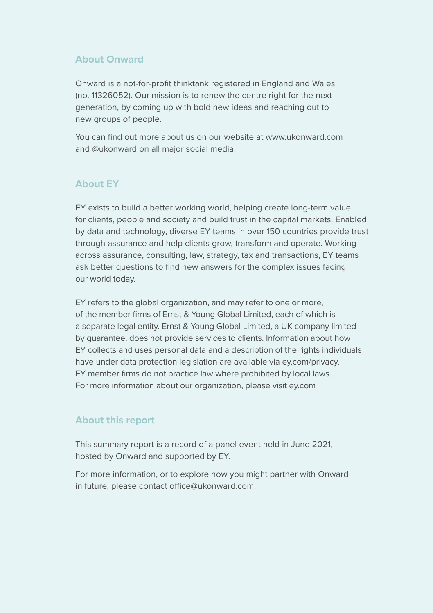#### **About Onward**

Onward is a not-for-profit thinktank registered in England and Wales (no. 11326052). Our mission is to renew the centre right for the next generation, by coming up with bold new ideas and reaching out to new groups of people.

You can find out more about us on our website at [www.ukonward.com](http://www.ukonward.com) and @ukonward on all major social media.

### **About EY**

EY exists to build a better working world, helping create long-term value for clients, people and society and build trust in the capital markets. Enabled by data and technology, diverse EY teams in over 150 countries provide trust through assurance and help clients grow, transform and operate. Working across assurance, consulting, law, strategy, tax and transactions, EY teams ask better questions to find new answers for the complex issues facing our world today.

EY refers to the global organization, and may refer to one or more, of the member firms of Ernst & Young Global Limited, each of which is a separate legal entity. Ernst & Young Global Limited, a UK company limited by guarantee, does not provide services to clients. Information about how EY collects and uses personal data and a description of the rights individuals have under data protection legislation are available via ey.com/privacy. EY member firms do not practice law where prohibited by local laws. For more information about our organization, please visit ey.com

### **About this report**

This summary report is a record of a panel event held in June 2021, hosted by Onward and supported by EY.

For more information, or to explore how you might partner with Onward in future, please contact [office@ukonward.com](mailto:office@ukonward.com).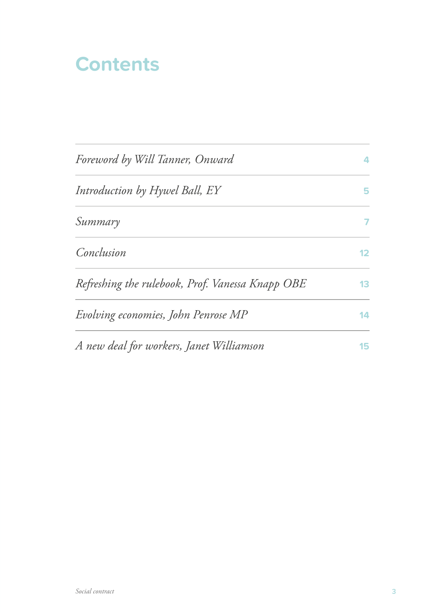### **Contents**

| Foreword by Will Tanner, Onward                  | $\overline{\mathbf{A}}$ |
|--------------------------------------------------|-------------------------|
| Introduction by Hywel Ball, EY                   | 5                       |
| Summary                                          | 7                       |
| Conclusion                                       | 12                      |
| Refreshing the rulebook, Prof. Vanessa Knapp OBE | 13                      |
| Evolving economies, John Penrose MP              | 14                      |
| A new deal for workers, Janet Williamson         | 15                      |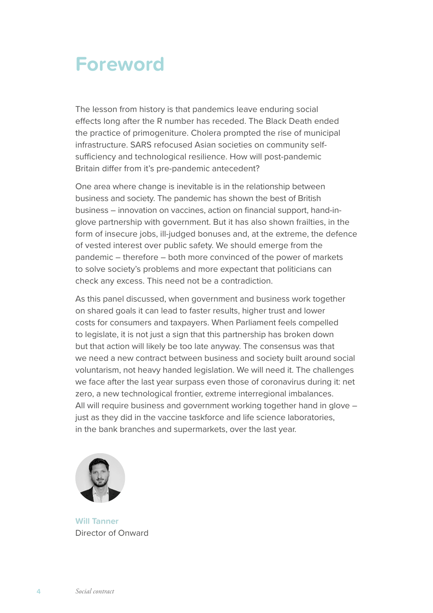### **Foreword**

The lesson from history is that pandemics leave enduring social effects long after the R number has receded. The Black Death ended the practice of primogeniture. Cholera prompted the rise of municipal infrastructure. SARS refocused Asian societies on community selfsufficiency and technological resilience. How will post-pandemic Britain differ from it's pre-pandemic antecedent?

One area where change is inevitable is in the relationship between business and society. The pandemic has shown the best of British business – innovation on vaccines, action on financial support, hand-inglove partnership with government. But it has also shown frailties, in the form of insecure jobs, ill-judged bonuses and, at the extreme, the defence of vested interest over public safety. We should emerge from the pandemic – therefore – both more convinced of the power of markets to solve society's problems and more expectant that politicians can check any excess. This need not be a contradiction.

As this panel discussed, when government and business work together on shared goals it can lead to faster results, higher trust and lower costs for consumers and taxpayers. When Parliament feels compelled to legislate, it is not just a sign that this partnership has broken down but that action will likely be too late anyway. The consensus was that we need a new contract between business and society built around social voluntarism, not heavy handed legislation. We will need it. The challenges we face after the last year surpass even those of coronavirus during it: net zero, a new technological frontier, extreme interregional imbalances. All will require business and government working together hand in glove – just as they did in the vaccine taskforce and life science laboratories, in the bank branches and supermarkets, over the last year.



**Will Tanner** Director of Onward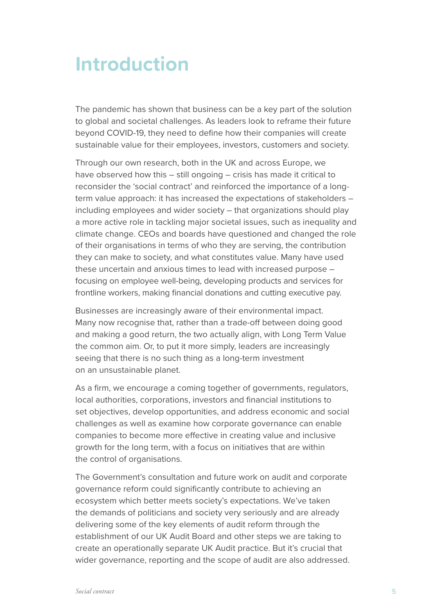### **Introduction**

The pandemic has shown that business can be a key part of the solution to global and societal challenges. As leaders look to reframe their future beyond COVID-19, they need to define how their companies will create sustainable value for their employees, investors, customers and society.

Through our own research, both in the UK and across Europe, we have observed how this – still ongoing – crisis has made it critical to reconsider the 'social contract' and reinforced the importance of a longterm value approach: it has increased the expectations of stakeholders – including employees and wider society – that organizations should play a more active role in tackling major societal issues, such as inequality and climate change. CEOs and boards have questioned and changed the role of their organisations in terms of who they are serving, the contribution they can make to society, and what constitutes value. Many have used these uncertain and anxious times to lead with increased purpose – focusing on employee well-being, developing products and services for frontline workers, making financial donations and cutting executive pay.

Businesses are increasingly aware of their environmental impact. Many now recognise that, rather than a trade-off between doing good and making a good return, the two actually align, with Long Term Value the common aim. Or, to put it more simply, leaders are increasingly seeing that there is no such thing as a long-term investment on an unsustainable planet.

As a firm, we encourage a coming together of governments, regulators, local authorities, corporations, investors and financial institutions to set objectives, develop opportunities, and address economic and social challenges as well as examine how corporate governance can enable companies to become more effective in creating value and inclusive growth for the long term, with a focus on initiatives that are within the control of organisations.

The Government's consultation and future work on audit and corporate governance reform could significantly contribute to achieving an ecosystem which better meets society's expectations. We've taken the demands of politicians and society very seriously and are already delivering some of the key elements of audit reform through the establishment of our UK Audit Board and other steps we are taking to create an operationally separate UK Audit practice. But it's crucial that wider governance, reporting and the scope of audit are also addressed.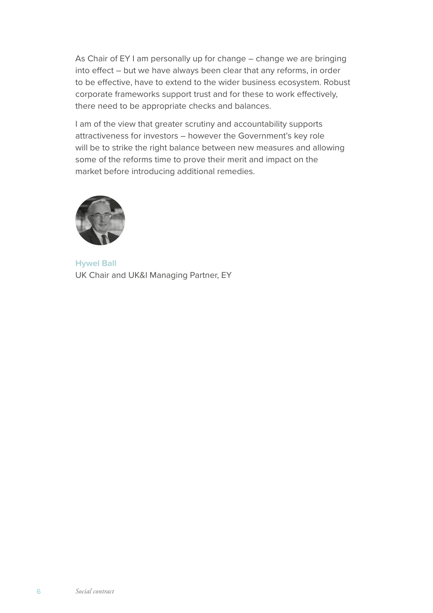As Chair of EY I am personally up for change – change we are bringing into effect – but we have always been clear that any reforms, in order to be effective, have to extend to the wider business ecosystem. Robust corporate frameworks support trust and for these to work effectively, there need to be appropriate checks and balances.

I am of the view that greater scrutiny and accountability supports attractiveness for investors – however the Government's key role will be to strike the right balance between new measures and allowing some of the reforms time to prove their merit and impact on the market before introducing additional remedies.



**Hywel Ball** UK Chair and UK&I Managing Partner, EY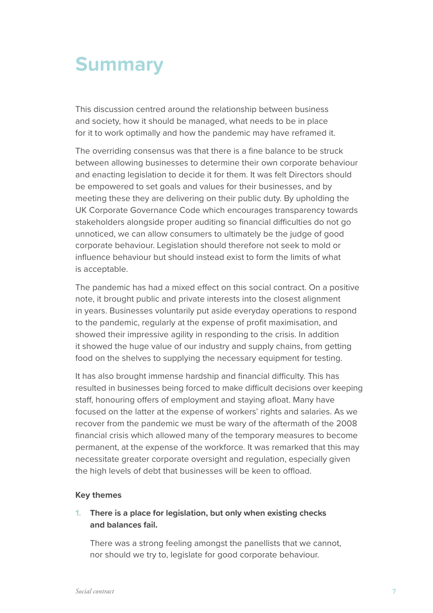### **Summary**

This discussion centred around the relationship between business and society, how it should be managed, what needs to be in place for it to work optimally and how the pandemic may have reframed it.

The overriding consensus was that there is a fine balance to be struck between allowing businesses to determine their own corporate behaviour and enacting legislation to decide it for them. It was felt Directors should be empowered to set goals and values for their businesses, and by meeting these they are delivering on their public duty. By upholding the UK Corporate Governance Code which encourages transparency towards stakeholders alongside proper auditing so financial difficulties do not go unnoticed, we can allow consumers to ultimately be the judge of good corporate behaviour. Legislation should therefore not seek to mold or influence behaviour but should instead exist to form the limits of what is acceptable.

The pandemic has had a mixed effect on this social contract. On a positive note, it brought public and private interests into the closest alignment in years. Businesses voluntarily put aside everyday operations to respond to the pandemic, regularly at the expense of profit maximisation, and showed their impressive agility in responding to the crisis. In addition it showed the huge value of our industry and supply chains, from getting food on the shelves to supplying the necessary equipment for testing.

It has also brought immense hardship and financial difficulty. This has resulted in businesses being forced to make difficult decisions over keeping staff, honouring offers of employment and staying afloat. Many have focused on the latter at the expense of workers' rights and salaries. As we recover from the pandemic we must be wary of the aftermath of the 2008 financial crisis which allowed many of the temporary measures to become permanent, at the expense of the workforce. It was remarked that this may necessitate greater corporate oversight and regulation, especially given the high levels of debt that businesses will be keen to offload.

#### **Key themes**

#### **1. There is a place for legislation, but only when existing checks and balances fail.**

There was a strong feeling amongst the panellists that we cannot, nor should we try to, legislate for good corporate behaviour.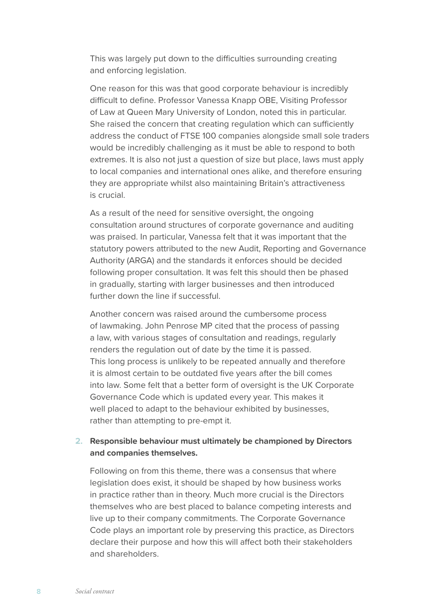This was largely put down to the difficulties surrounding creating and enforcing legislation.

One reason for this was that good corporate behaviour is incredibly difficult to define. Professor Vanessa Knapp OBE, Visiting Professor of Law at Queen Mary University of London, noted this in particular. She raised the concern that creating regulation which can sufficiently address the conduct of FTSE 100 companies alongside small sole traders would be incredibly challenging as it must be able to respond to both extremes. It is also not just a question of size but place, laws must apply to local companies and international ones alike, and therefore ensuring they are appropriate whilst also maintaining Britain's attractiveness is crucial.

As a result of the need for sensitive oversight, the ongoing consultation around structures of corporate governance and auditing was praised. In particular, Vanessa felt that it was important that the statutory powers attributed to the new Audit, Reporting and Governance Authority (ARGA) and the standards it enforces should be decided following proper consultation. It was felt this should then be phased in gradually, starting with larger businesses and then introduced further down the line if successful.

Another concern was raised around the cumbersome process of lawmaking. John Penrose MP cited that the process of passing a law, with various stages of consultation and readings, regularly renders the regulation out of date by the time it is passed. This long process is unlikely to be repeated annually and therefore it is almost certain to be outdated five years after the bill comes into law. Some felt that a better form of oversight is the UK Corporate Governance Code which is updated every year. This makes it well placed to adapt to the behaviour exhibited by businesses, rather than attempting to pre-empt it.

#### **2. Responsible behaviour must ultimately be championed by Directors and companies themselves.**

Following on from this theme, there was a consensus that where legislation does exist, it should be shaped by how business works in practice rather than in theory. Much more crucial is the Directors themselves who are best placed to balance competing interests and live up to their company commitments. The Corporate Governance Code plays an important role by preserving this practice, as Directors declare their purpose and how this will affect both their stakeholders and shareholders.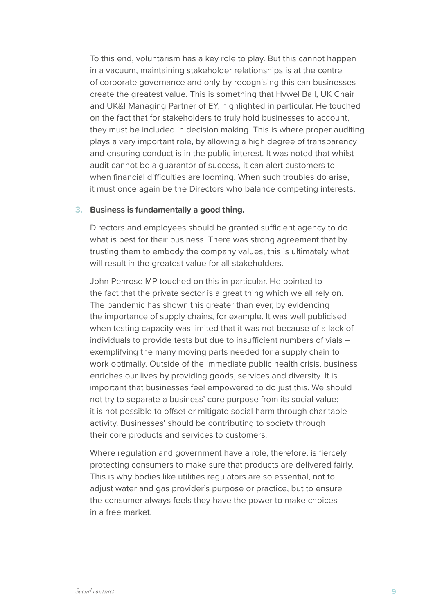To this end, voluntarism has a key role to play. But this cannot happen in a vacuum, maintaining stakeholder relationships is at the centre of corporate governance and only by recognising this can businesses create the greatest value. This is something that Hywel Ball, UK Chair and UK&I Managing Partner of EY, highlighted in particular. He touched on the fact that for stakeholders to truly hold businesses to account, they must be included in decision making. This is where proper auditing plays a very important role, by allowing a high degree of transparency and ensuring conduct is in the public interest. It was noted that whilst audit cannot be a guarantor of success, it can alert customers to when financial difficulties are looming. When such troubles do arise, it must once again be the Directors who balance competing interests.

#### **3. Business is fundamentally a good thing.**

Directors and employees should be granted sufficient agency to do what is best for their business. There was strong agreement that by trusting them to embody the company values, this is ultimately what will result in the greatest value for all stakeholders.

John Penrose MP touched on this in particular. He pointed to the fact that the private sector is a great thing which we all rely on. The pandemic has shown this greater than ever, by evidencing the importance of supply chains, for example. It was well publicised when testing capacity was limited that it was not because of a lack of individuals to provide tests but due to insufficient numbers of vials – exemplifying the many moving parts needed for a supply chain to work optimally. Outside of the immediate public health crisis, business enriches our lives by providing goods, services and diversity. It is important that businesses feel empowered to do just this. We should not try to separate a business' core purpose from its social value: it is not possible to offset or mitigate social harm through charitable activity. Businesses' should be contributing to society through their core products and services to customers.

Where regulation and government have a role, therefore, is fiercely protecting consumers to make sure that products are delivered fairly. This is why bodies like utilities regulators are so essential, not to adjust water and gas provider's purpose or practice, but to ensure the consumer always feels they have the power to make choices in a free market.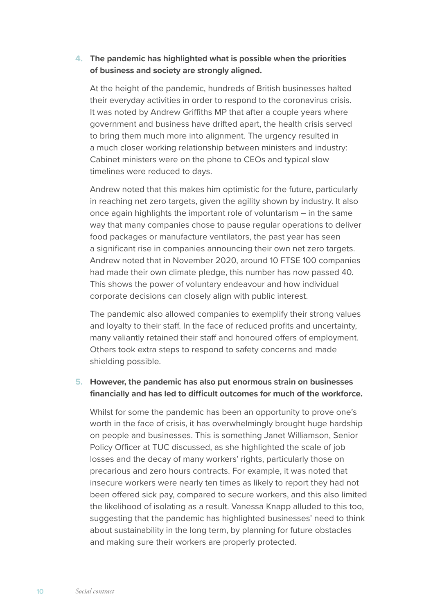#### **4. The pandemic has highlighted what is possible when the priorities of business and society are strongly aligned.**

At the height of the pandemic, hundreds of British businesses halted their everyday activities in order to respond to the coronavirus crisis. It was noted by Andrew Griffiths MP that after a couple years where government and business have drifted apart, the health crisis served to bring them much more into alignment. The urgency resulted in a much closer working relationship between ministers and industry: Cabinet ministers were on the phone to CEOs and typical slow timelines were reduced to days.

Andrew noted that this makes him optimistic for the future, particularly in reaching net zero targets, given the agility shown by industry. It also once again highlights the important role of voluntarism – in the same way that many companies chose to pause regular operations to deliver food packages or manufacture ventilators, the past year has seen a significant rise in companies announcing their own net zero targets. Andrew noted that in November 2020, around 10 FTSE 100 companies had made their own climate pledge, this number has now passed 40. This shows the power of voluntary endeavour and how individual corporate decisions can closely align with public interest.

The pandemic also allowed companies to exemplify their strong values and loyalty to their staff. In the face of reduced profits and uncertainty, many valiantly retained their staff and honoured offers of employment. Others took extra steps to respond to safety concerns and made shielding possible.

#### **5. However, the pandemic has also put enormous strain on businesses financially and has led to difficult outcomes for much of the workforce.**

Whilst for some the pandemic has been an opportunity to prove one's worth in the face of crisis, it has overwhelmingly brought huge hardship on people and businesses. This is something Janet Williamson, Senior Policy Officer at TUC discussed, as she highlighted the scale of job losses and the decay of many workers' rights, particularly those on precarious and zero hours contracts. For example, it was noted that insecure workers were nearly ten times as likely to report they had not been offered sick pay, compared to secure workers, and this also limited the likelihood of isolating as a result. Vanessa Knapp alluded to this too, suggesting that the pandemic has highlighted businesses' need to think about sustainability in the long term, by planning for future obstacles and making sure their workers are properly protected.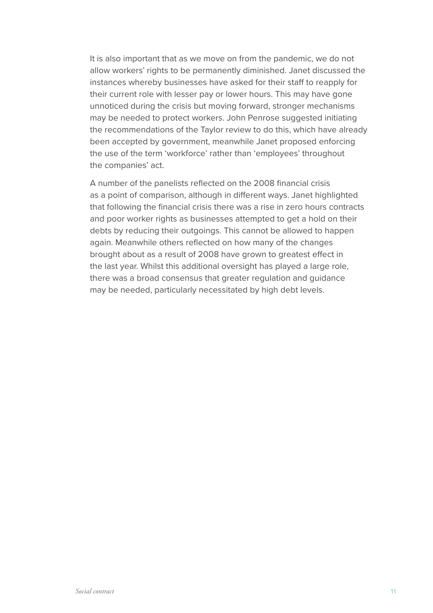It is also important that as we move on from the pandemic, we do not allow workers' rights to be permanently diminished. Janet discussed the instances whereby businesses have asked for their staff to reapply for their current role with lesser pay or lower hours. This may have gone unnoticed during the crisis but moving forward, stronger mechanisms may be needed to protect workers. John Penrose suggested initiating the recommendations of the Taylor review to do this, which have already been accepted by government, meanwhile Janet proposed enforcing the use of the term 'workforce' rather than 'employees' throughout the companies' act.

A number of the panelists reflected on the 2008 financial crisis as a point of comparison, although in different ways. Janet highlighted that following the financial crisis there was a rise in zero hours contracts and poor worker rights as businesses attempted to get a hold on their debts by reducing their outgoings. This cannot be allowed to happen again. Meanwhile others reflected on how many of the changes brought about as a result of 2008 have grown to greatest effect in the last year. Whilst this additional oversight has played a large role, there was a broad consensus that greater regulation and guidance may be needed, particularly necessitated by high debt levels.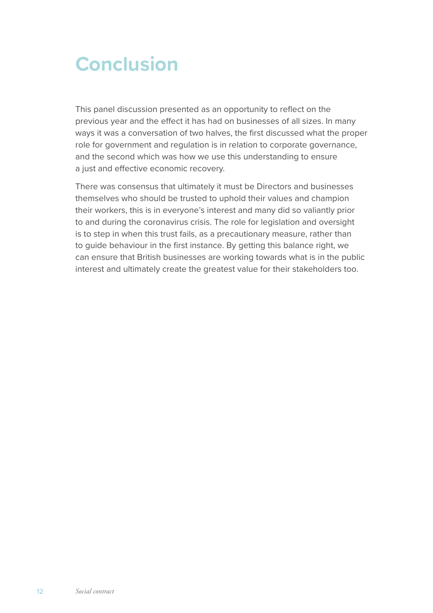## **Conclusion**

This panel discussion presented as an opportunity to reflect on the previous year and the effect it has had on businesses of all sizes. In many ways it was a conversation of two halves, the first discussed what the proper role for government and regulation is in relation to corporate governance, and the second which was how we use this understanding to ensure a just and effective economic recovery.

There was consensus that ultimately it must be Directors and businesses themselves who should be trusted to uphold their values and champion their workers, this is in everyone's interest and many did so valiantly prior to and during the coronavirus crisis. The role for legislation and oversight is to step in when this trust fails, as a precautionary measure, rather than to guide behaviour in the first instance. By getting this balance right, we can ensure that British businesses are working towards what is in the public interest and ultimately create the greatest value for their stakeholders too.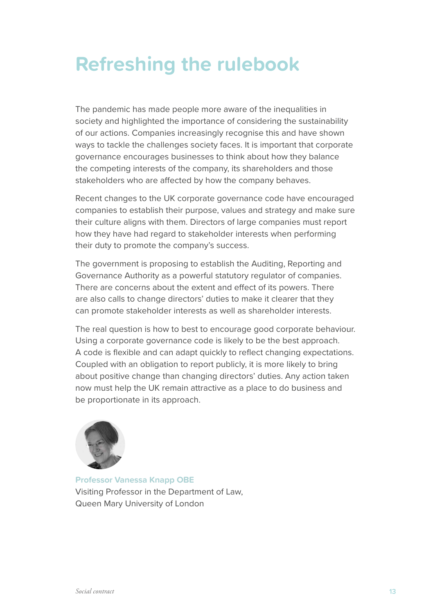# **Refreshing the rulebook**

The pandemic has made people more aware of the inequalities in society and highlighted the importance of considering the sustainability of our actions. Companies increasingly recognise this and have shown ways to tackle the challenges society faces. It is important that corporate governance encourages businesses to think about how they balance the competing interests of the company, its shareholders and those stakeholders who are affected by how the company behaves.

Recent changes to the UK corporate governance code have encouraged companies to establish their purpose, values and strategy and make sure their culture aligns with them. Directors of large companies must report how they have had regard to stakeholder interests when performing their duty to promote the company's success.

The government is proposing to establish the Auditing, Reporting and Governance Authority as a powerful statutory regulator of companies. There are concerns about the extent and effect of its powers. There are also calls to change directors' duties to make it clearer that they can promote stakeholder interests as well as shareholder interests.

The real question is how to best to encourage good corporate behaviour. Using a corporate governance code is likely to be the best approach. A code is flexible and can adapt quickly to reflect changing expectations. Coupled with an obligation to report publicly, it is more likely to bring about positive change than changing directors' duties. Any action taken now must help the UK remain attractive as a place to do business and be proportionate in its approach.



**Professor Vanessa Knapp OBE** Visiting Professor in the Department of Law, Queen Mary University of London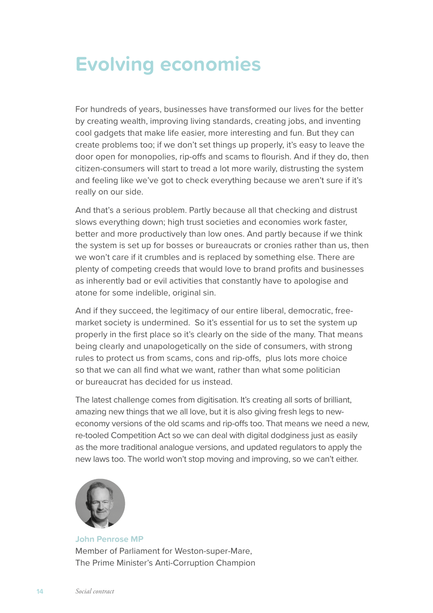## **Evolving economies**

For hundreds of years, businesses have transformed our lives for the better by creating wealth, improving living standards, creating jobs, and inventing cool gadgets that make life easier, more interesting and fun. But they can create problems too; if we don't set things up properly, it's easy to leave the door open for monopolies, rip-offs and scams to flourish. And if they do, then citizen-consumers will start to tread a lot more warily, distrusting the system and feeling like we've got to check everything because we aren't sure if it's really on our side.

And that's a serious problem. Partly because all that checking and distrust slows everything down; high trust societies and economies work faster, better and more productively than low ones. And partly because if we think the system is set up for bosses or bureaucrats or cronies rather than us, then we won't care if it crumbles and is replaced by something else. There are plenty of competing creeds that would love to brand profits and businesses as inherently bad or evil activities that constantly have to apologise and atone for some indelible, original sin.

And if they succeed, the legitimacy of our entire liberal, democratic, freemarket society is undermined. So it's essential for us to set the system up properly in the first place so it's clearly on the side of the many. That means being clearly and unapologetically on the side of consumers, with strong rules to protect us from scams, cons and rip-offs, plus lots more choice so that we can all find what we want, rather than what some politician or bureaucrat has decided for us instead.

The latest challenge comes from digitisation. It's creating all sorts of brilliant, amazing new things that we all love, but it is also giving fresh legs to neweconomy versions of the old scams and rip-offs too. That means we need a new, re-tooled Competition Act so we can deal with digital dodginess just as easily as the more traditional analogue versions, and updated regulators to apply the new laws too. The world won't stop moving and improving, so we can't either.



**John Penrose MP** Member of Parliament for Weston-super-Mare, The Prime Minister's Anti-Corruption Champion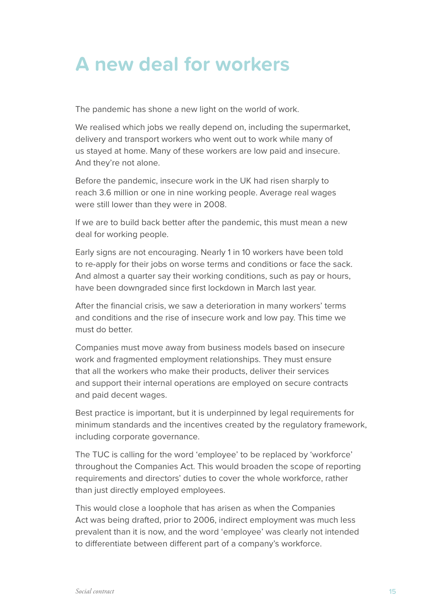### **A new deal for workers**

The pandemic has shone a new light on the world of work.

We realised which jobs we really depend on, including the supermarket, delivery and transport workers who went out to work while many of us stayed at home. Many of these workers are low paid and insecure. And they're not alone.

Before the pandemic, insecure work in the UK had risen sharply to reach 3.6 million or one in nine working people. Average real wages were still lower than they were in 2008.

If we are to build back better after the pandemic, this must mean a new deal for working people.

Early signs are not encouraging. Nearly 1 in 10 workers have been told to re-apply for their jobs on worse terms and conditions or face the sack. And almost a quarter say their working conditions, such as pay or hours, have been downgraded since first lockdown in March last year.

After the financial crisis, we saw a deterioration in many workers' terms and conditions and the rise of insecure work and low pay. This time we must do better.

Companies must move away from business models based on insecure work and fragmented employment relationships. They must ensure that all the workers who make their products, deliver their services and support their internal operations are employed on secure contracts and paid decent wages.

Best practice is important, but it is underpinned by legal requirements for minimum standards and the incentives created by the regulatory framework, including corporate governance.

The TUC is calling for the word 'employee' to be replaced by 'workforce' throughout the Companies Act. This would broaden the scope of reporting requirements and directors' duties to cover the whole workforce, rather than just directly employed employees.

This would close a loophole that has arisen as when the Companies Act was being drafted, prior to 2006, indirect employment was much less prevalent than it is now, and the word 'employee' was clearly not intended to differentiate between different part of a company's workforce.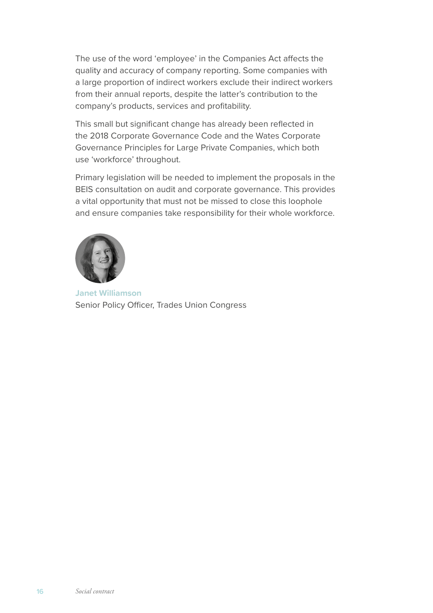The use of the word 'employee' in the Companies Act affects the quality and accuracy of company reporting. Some companies with a large proportion of indirect workers exclude their indirect workers from their annual reports, despite the latter's contribution to the company's products, services and profitability.

This small but significant change has already been reflected in the 2018 Corporate Governance Code and the Wates Corporate Governance Principles for Large Private Companies, which both use 'workforce' throughout.

Primary legislation will be needed to implement the proposals in the BEIS consultation on audit and corporate governance. This provides a vital opportunity that must not be missed to close this loophole and ensure companies take responsibility for their whole workforce.



**Janet Williamson** Senior Policy Officer, Trades Union Congress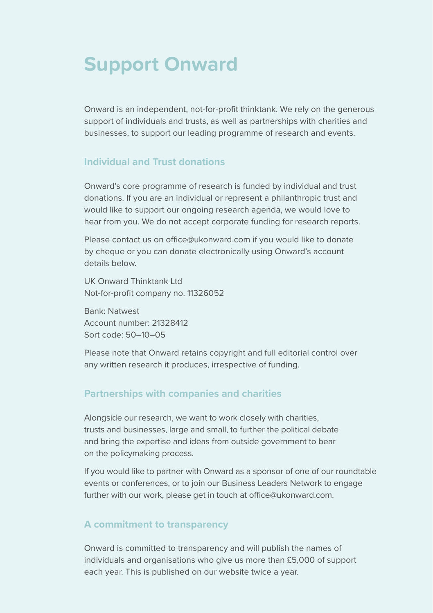### **Support Onward**

Onward is an independent, not-for-profit thinktank. We rely on the generous support of individuals and trusts, as well as partnerships with charities and businesses, to support our leading programme of research and events.

### **Individual and Trust donations**

Onward's core programme of research is funded by individual and trust donations. If you are an individual or represent a philanthropic trust and would like to support our ongoing research agenda, we would love to hear from you. We do not accept corporate funding for research reports.

Please contact us on [office@ukonward.com](mailto:office@ukonward.com) if you would like to donate by cheque or you can donate electronically using Onward's account details below.

UK Onward Thinktank Ltd Not-for-profit company no. 11326052

Bank: Natwest Account number: 21328412 Sort code: 50–10–05

Please note that Onward retains copyright and full editorial control over any written research it produces, irrespective of funding.

#### **Partnerships with companies and charities**

Alongside our research, we want to work closely with charities, trusts and businesses, large and small, to further the political debate and bring the expertise and ideas from outside government to bear on the policymaking process.

If you would like to partner with Onward as a sponsor of one of our roundtable events or conferences, or to join our Business Leaders Network to engage further with our work, please get in touch at [office@ukonward.com.](mailto:office@ukonward.com)

#### **A commitment to transparency**

Onward is committed to transparency and will publish the names of individuals and organisations who give us more than £5,000 of support each year. This is published on our website twice a year.